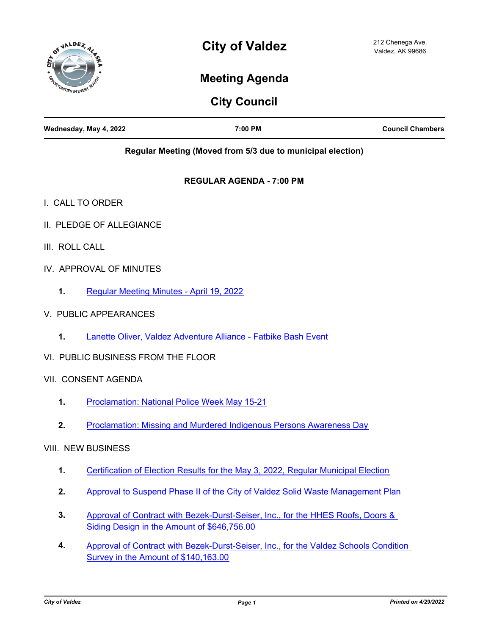

# **City of Valdez**

## **Meeting Agenda**

## **City Council**

| Wednesday, May 4, 2022 | 7:00 PM | <b>Council Chambers</b> |
|------------------------|---------|-------------------------|
|                        |         |                         |

**Regular Meeting (Moved from 5/3 due to municipal election)**

#### **REGULAR AGENDA - 7:00 PM**

- I. CALL TO ORDER
- II. PLEDGE OF ALLEGIANCE
- III. ROLL CALL
- IV. APPROVAL OF MINUTES
	- **1.** [Regular Meeting Minutes April 19, 2022](http://valdez.legistar.com/gateway.aspx?m=l&id=/matter.aspx?key=8044)
- V. PUBLIC APPEARANCES
	- **1.** [Lanette Oliver, Valdez Adventure Alliance Fatbike Bash Event](http://valdez.legistar.com/gateway.aspx?m=l&id=/matter.aspx?key=8043)
- VI. PUBLIC BUSINESS FROM THE FLOOR
- VII. CONSENT AGENDA
	- **1.** [Proclamation: National Police Week May 15-21](http://valdez.legistar.com/gateway.aspx?m=l&id=/matter.aspx?key=8026)
	- **2.** [Proclamation: Missing and Murdered Indigenous Persons Awareness Day](http://valdez.legistar.com/gateway.aspx?m=l&id=/matter.aspx?key=8046)
- VIII. NEW BUSINESS
	- **1.** [Certification of Election Results for the May 3, 2022, Regular Municipal Election](http://valdez.legistar.com/gateway.aspx?m=l&id=/matter.aspx?key=8042)
	- **2.** [Approval to Suspend Phase II of the City of Valdez Solid Waste Management Plan](http://valdez.legistar.com/gateway.aspx?m=l&id=/matter.aspx?key=8028)
	- [Approval of Contract with Bezek-Durst-Seiser, Inc., for the HHES Roofs, Doors &](http://valdez.legistar.com/gateway.aspx?m=l&id=/matter.aspx?key=8020)  Siding Design in the Amount of \$646,756.00 **3.**
	- [Approval of Contract with Bezek-Durst-Seiser, Inc., for the Valdez Schools Condition](http://valdez.legistar.com/gateway.aspx?m=l&id=/matter.aspx?key=8021)  Survey in the Amount of \$140,163.00 **4.**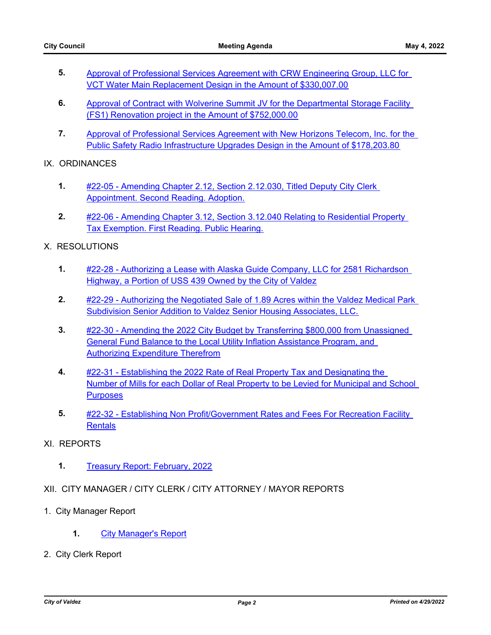- [Approval of Professional Services Agreement with CRW Engineering Group, LLC for](http://valdez.legistar.com/gateway.aspx?m=l&id=/matter.aspx?key=8022)  VCT Water Main Replacement Design in the Amount of \$330,007.00 **5.**
- Approval of Contract with Wolverine Summit JV for the Departmental Storage Facility (FS1) Renovation project in the Amount of \$752,000.00 **6.**
- [Approval of Professional Services Agreement with New Horizons Telecom, Inc. for the](http://valdez.legistar.com/gateway.aspx?m=l&id=/matter.aspx?key=8039)  Public Safety Radio Infrastructure Upgrades Design in the Amount of \$178,203.80 **7.**

#### IX. ORDINANCES

- [#22-05 Amending Chapter 2.12, Section 2.12.030, Titled Deputy City Clerk](http://valdez.legistar.com/gateway.aspx?m=l&id=/matter.aspx?key=7941)  Appointment. Second Reading. Adoption. **1.**
- [#22-06 Amending Chapter 3.12, Section 3.12.040 Relating to Residential Property](http://valdez.legistar.com/gateway.aspx?m=l&id=/matter.aspx?key=8045)  Tax Exemption. First Reading. Public Hearing. **2.**

#### X. RESOLUTIONS

- [#22-28 Authorizing a Lease with Alaska Guide Company, LLC for 2581 Richardson](http://valdez.legistar.com/gateway.aspx?m=l&id=/matter.aspx?key=8040)  Highway, a Portion of USS 439 Owned by the City of Valdez **1.**
- [#22-29 Authorizing the Negotiated Sale of 1.89 Acres within the Valdez Medical Park](http://valdez.legistar.com/gateway.aspx?m=l&id=/matter.aspx?key=8034)  Subdivision Senior Addition to Valdez Senior Housing Associates, LLC. **2.**
- [#22-30 Amending the 2022 City Budget by Transferring \\$800,000 from Unassigned](http://valdez.legistar.com/gateway.aspx?m=l&id=/matter.aspx?key=8030)  General Fund Balance to the Local Utility Inflation Assistance Program, and Authorizing Expenditure Therefrom **3.**
- #22-31 Establishing the 2022 Rate of Real Property Tax and Designating the [Number of Mills for each Dollar of Real Property to be Levied for Municipal and School](http://valdez.legistar.com/gateway.aspx?m=l&id=/matter.aspx?key=8038)  **Purposes 4.**
- [#22-32 Establishing Non Profit/Government Rates and Fees For Recreation Facility](http://valdez.legistar.com/gateway.aspx?m=l&id=/matter.aspx?key=8037)  **Rentals 5.**
- XI. REPORTS
	- **1.** [Treasury Report: February, 2022](http://valdez.legistar.com/gateway.aspx?m=l&id=/matter.aspx?key=8027)
- XII. CITY MANAGER / CITY CLERK / CITY ATTORNEY / MAYOR REPORTS
- 1. City Manager Report
	- **1.** [City Manager's Report](http://valdez.legistar.com/gateway.aspx?m=l&id=/matter.aspx?key=8041)
- 2. City Clerk Report